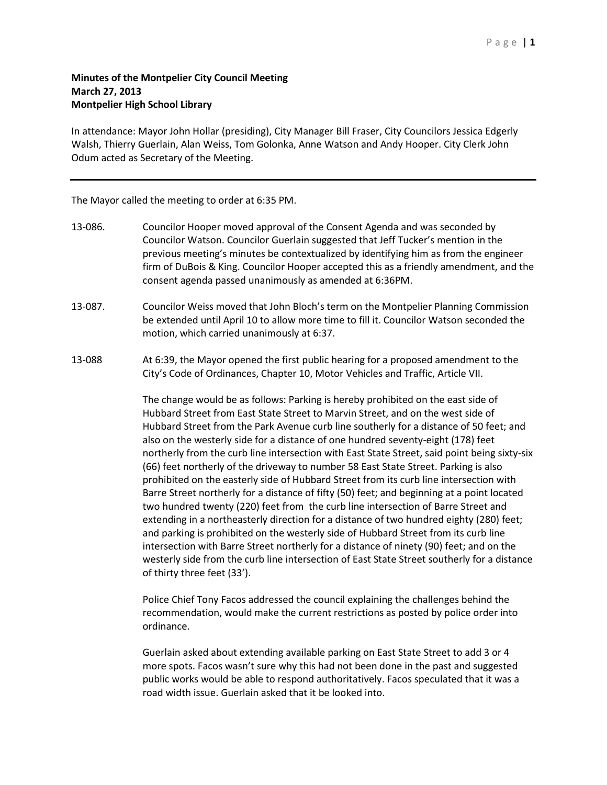## Page | **1**

## **Minutes of the Montpelier City Council Meeting March 27, 2013 Montpelier High School Library**

In attendance: Mayor John Hollar (presiding), City Manager Bill Fraser, City Councilors Jessica Edgerly Walsh, Thierry Guerlain, Alan Weiss, Tom Golonka, Anne Watson and Andy Hooper. City Clerk John Odum acted as Secretary of the Meeting.

The Mayor called the meeting to order at 6:35 PM.

- 13-086. Councilor Hooper moved approval of the Consent Agenda and was seconded by Councilor Watson. Councilor Guerlain suggested that Jeff Tucker's mention in the previous meeting's minutes be contextualized by identifying him as from the engineer firm of DuBois & King. Councilor Hooper accepted this as a friendly amendment, and the consent agenda passed unanimously as amended at 6:36PM.
- 13-087. Councilor Weiss moved that John Bloch's term on the Montpelier Planning Commission be extended until April 10 to allow more time to fill it. Councilor Watson seconded the motion, which carried unanimously at 6:37.
- 13-088 At 6:39, the Mayor opened the first public hearing for a proposed amendment to the City's Code of Ordinances, Chapter 10, Motor Vehicles and Traffic, Article VII.

The change would be as follows: Parking is hereby prohibited on the east side of Hubbard Street from East State Street to Marvin Street, and on the west side of Hubbard Street from the Park Avenue curb line southerly for a distance of 50 feet; and also on the westerly side for a distance of one hundred seventy-eight (178) feet northerly from the curb line intersection with East State Street, said point being sixty-six (66) feet northerly of the driveway to number 58 East State Street. Parking is also prohibited on the easterly side of Hubbard Street from its curb line intersection with Barre Street northerly for a distance of fifty (50) feet; and beginning at a point located two hundred twenty (220) feet from the curb line intersection of Barre Street and extending in a northeasterly direction for a distance of two hundred eighty (280) feet; and parking is prohibited on the westerly side of Hubbard Street from its curb line intersection with Barre Street northerly for a distance of ninety (90) feet; and on the westerly side from the curb line intersection of East State Street southerly for a distance of thirty three feet (33').

Police Chief Tony Facos addressed the council explaining the challenges behind the recommendation, would make the current restrictions as posted by police order into ordinance.

Guerlain asked about extending available parking on East State Street to add 3 or 4 more spots. Facos wasn't sure why this had not been done in the past and suggested public works would be able to respond authoritatively. Facos speculated that it was a road width issue. Guerlain asked that it be looked into.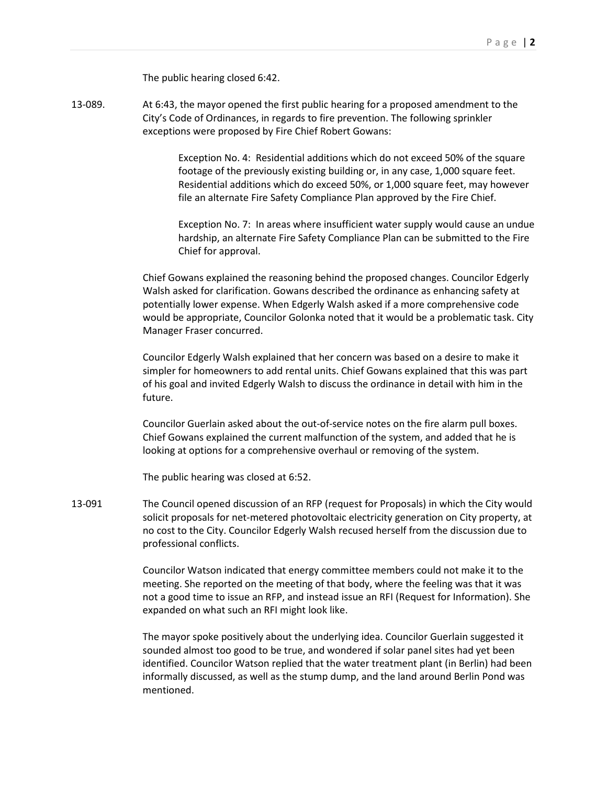The public hearing closed 6:42.

13-089. At 6:43, the mayor opened the first public hearing for a proposed amendment to the City's Code of Ordinances, in regards to fire prevention. The following sprinkler exceptions were proposed by Fire Chief Robert Gowans:

> Exception No. 4: Residential additions which do not exceed 50% of the square footage of the previously existing building or, in any case, 1,000 square feet. Residential additions which do exceed 50%, or 1,000 square feet, may however file an alternate Fire Safety Compliance Plan approved by the Fire Chief.

Exception No. 7: In areas where insufficient water supply would cause an undue hardship, an alternate Fire Safety Compliance Plan can be submitted to the Fire Chief for approval.

Chief Gowans explained the reasoning behind the proposed changes. Councilor Edgerly Walsh asked for clarification. Gowans described the ordinance as enhancing safety at potentially lower expense. When Edgerly Walsh asked if a more comprehensive code would be appropriate, Councilor Golonka noted that it would be a problematic task. City Manager Fraser concurred.

Councilor Edgerly Walsh explained that her concern was based on a desire to make it simpler for homeowners to add rental units. Chief Gowans explained that this was part of his goal and invited Edgerly Walsh to discuss the ordinance in detail with him in the future.

Councilor Guerlain asked about the out-of-service notes on the fire alarm pull boxes. Chief Gowans explained the current malfunction of the system, and added that he is looking at options for a comprehensive overhaul or removing of the system.

The public hearing was closed at 6:52.

13-091 The Council opened discussion of an RFP (request for Proposals) in which the City would solicit proposals for net-metered photovoltaic electricity generation on City property, at no cost to the City. Councilor Edgerly Walsh recused herself from the discussion due to professional conflicts.

> Councilor Watson indicated that energy committee members could not make it to the meeting. She reported on the meeting of that body, where the feeling was that it was not a good time to issue an RFP, and instead issue an RFI (Request for Information). She expanded on what such an RFI might look like.

> The mayor spoke positively about the underlying idea. Councilor Guerlain suggested it sounded almost too good to be true, and wondered if solar panel sites had yet been identified. Councilor Watson replied that the water treatment plant (in Berlin) had been informally discussed, as well as the stump dump, and the land around Berlin Pond was mentioned.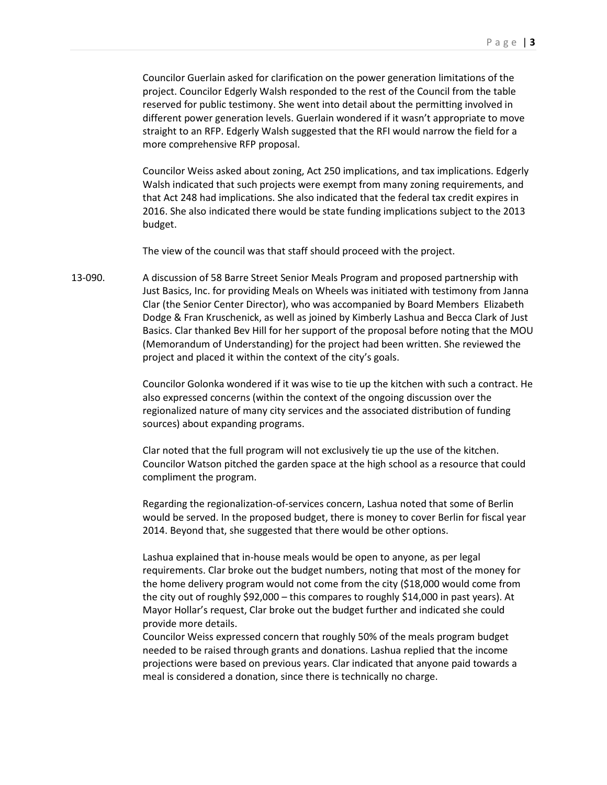Councilor Guerlain asked for clarification on the power generation limitations of the project. Councilor Edgerly Walsh responded to the rest of the Council from the table reserved for public testimony. She went into detail about the permitting involved in different power generation levels. Guerlain wondered if it wasn't appropriate to move straight to an RFP. Edgerly Walsh suggested that the RFI would narrow the field for a more comprehensive RFP proposal.

Councilor Weiss asked about zoning, Act 250 implications, and tax implications. Edgerly Walsh indicated that such projects were exempt from many zoning requirements, and that Act 248 had implications. She also indicated that the federal tax credit expires in 2016. She also indicated there would be state funding implications subject to the 2013 budget.

The view of the council was that staff should proceed with the project.

13-090. A discussion of 58 Barre Street Senior Meals Program and proposed partnership with Just Basics, Inc. for providing Meals on Wheels was initiated with testimony from Janna Clar (the Senior Center Director), who was accompanied by Board Members Elizabeth Dodge & Fran Kruschenick, as well as joined by Kimberly Lashua and Becca Clark of Just Basics. Clar thanked Bev Hill for her support of the proposal before noting that the MOU (Memorandum of Understanding) for the project had been written. She reviewed the project and placed it within the context of the city's goals.

> Councilor Golonka wondered if it was wise to tie up the kitchen with such a contract. He also expressed concerns (within the context of the ongoing discussion over the regionalized nature of many city services and the associated distribution of funding sources) about expanding programs.

Clar noted that the full program will not exclusively tie up the use of the kitchen. Councilor Watson pitched the garden space at the high school as a resource that could compliment the program.

Regarding the regionalization-of-services concern, Lashua noted that some of Berlin would be served. In the proposed budget, there is money to cover Berlin for fiscal year 2014. Beyond that, she suggested that there would be other options.

Lashua explained that in-house meals would be open to anyone, as per legal requirements. Clar broke out the budget numbers, noting that most of the money for the home delivery program would not come from the city (\$18,000 would come from the city out of roughly \$92,000 – this compares to roughly \$14,000 in past years). At Mayor Hollar's request, Clar broke out the budget further and indicated she could provide more details.

Councilor Weiss expressed concern that roughly 50% of the meals program budget needed to be raised through grants and donations. Lashua replied that the income projections were based on previous years. Clar indicated that anyone paid towards a meal is considered a donation, since there is technically no charge.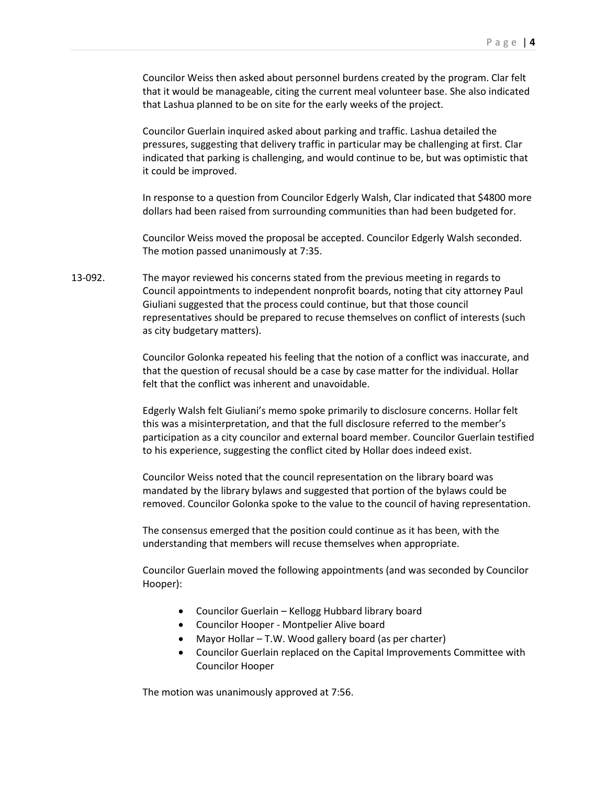Councilor Weiss then asked about personnel burdens created by the program. Clar felt that it would be manageable, citing the current meal volunteer base. She also indicated that Lashua planned to be on site for the early weeks of the project.

Councilor Guerlain inquired asked about parking and traffic. Lashua detailed the pressures, suggesting that delivery traffic in particular may be challenging at first. Clar indicated that parking is challenging, and would continue to be, but was optimistic that it could be improved.

In response to a question from Councilor Edgerly Walsh, Clar indicated that \$4800 more dollars had been raised from surrounding communities than had been budgeted for.

Councilor Weiss moved the proposal be accepted. Councilor Edgerly Walsh seconded. The motion passed unanimously at 7:35.

13-092. The mayor reviewed his concerns stated from the previous meeting in regards to Council appointments to independent nonprofit boards, noting that city attorney Paul Giuliani suggested that the process could continue, but that those council representatives should be prepared to recuse themselves on conflict of interests (such as city budgetary matters).

> Councilor Golonka repeated his feeling that the notion of a conflict was inaccurate, and that the question of recusal should be a case by case matter for the individual. Hollar felt that the conflict was inherent and unavoidable.

Edgerly Walsh felt Giuliani's memo spoke primarily to disclosure concerns. Hollar felt this was a misinterpretation, and that the full disclosure referred to the member's participation as a city councilor and external board member. Councilor Guerlain testified to his experience, suggesting the conflict cited by Hollar does indeed exist.

Councilor Weiss noted that the council representation on the library board was mandated by the library bylaws and suggested that portion of the bylaws could be removed. Councilor Golonka spoke to the value to the council of having representation.

The consensus emerged that the position could continue as it has been, with the understanding that members will recuse themselves when appropriate.

Councilor Guerlain moved the following appointments (and was seconded by Councilor Hooper):

- Councilor Guerlain Kellogg Hubbard library board
- Councilor Hooper Montpelier Alive board
- Mayor Hollar T.W. Wood gallery board (as per charter)
- Councilor Guerlain replaced on the Capital Improvements Committee with Councilor Hooper

The motion was unanimously approved at 7:56.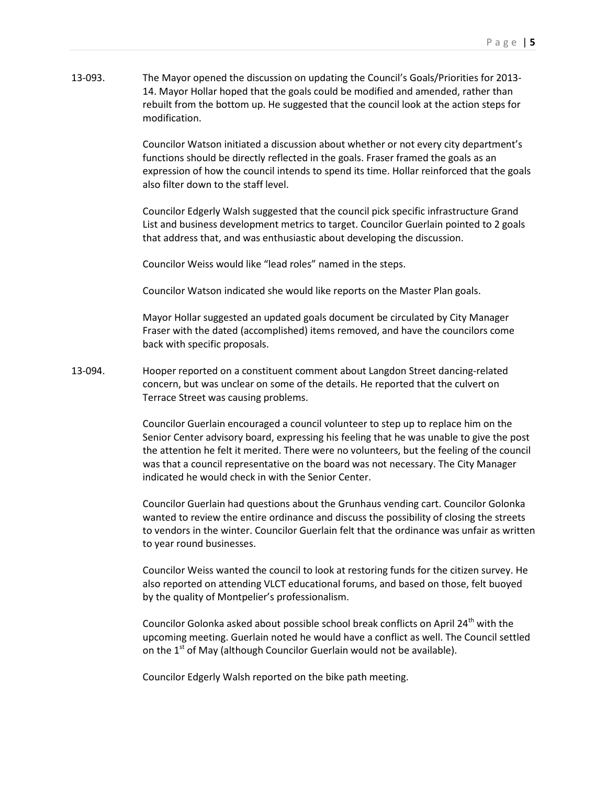13-093. The Mayor opened the discussion on updating the Council's Goals/Priorities for 2013- 14. Mayor Hollar hoped that the goals could be modified and amended, rather than rebuilt from the bottom up. He suggested that the council look at the action steps for modification.

> Councilor Watson initiated a discussion about whether or not every city department's functions should be directly reflected in the goals. Fraser framed the goals as an expression of how the council intends to spend its time. Hollar reinforced that the goals also filter down to the staff level.

Councilor Edgerly Walsh suggested that the council pick specific infrastructure Grand List and business development metrics to target. Councilor Guerlain pointed to 2 goals that address that, and was enthusiastic about developing the discussion.

Councilor Weiss would like "lead roles" named in the steps.

Councilor Watson indicated she would like reports on the Master Plan goals.

Mayor Hollar suggested an updated goals document be circulated by City Manager Fraser with the dated (accomplished) items removed, and have the councilors come back with specific proposals.

13-094. Hooper reported on a constituent comment about Langdon Street dancing-related concern, but was unclear on some of the details. He reported that the culvert on Terrace Street was causing problems.

> Councilor Guerlain encouraged a council volunteer to step up to replace him on the Senior Center advisory board, expressing his feeling that he was unable to give the post the attention he felt it merited. There were no volunteers, but the feeling of the council was that a council representative on the board was not necessary. The City Manager indicated he would check in with the Senior Center.

Councilor Guerlain had questions about the Grunhaus vending cart. Councilor Golonka wanted to review the entire ordinance and discuss the possibility of closing the streets to vendors in the winter. Councilor Guerlain felt that the ordinance was unfair as written to year round businesses.

Councilor Weiss wanted the council to look at restoring funds for the citizen survey. He also reported on attending VLCT educational forums, and based on those, felt buoyed by the quality of Montpelier's professionalism.

Councilor Golonka asked about possible school break conflicts on April  $24^{th}$  with the upcoming meeting. Guerlain noted he would have a conflict as well. The Council settled on the  $1<sup>st</sup>$  of May (although Councilor Guerlain would not be available).

Councilor Edgerly Walsh reported on the bike path meeting.